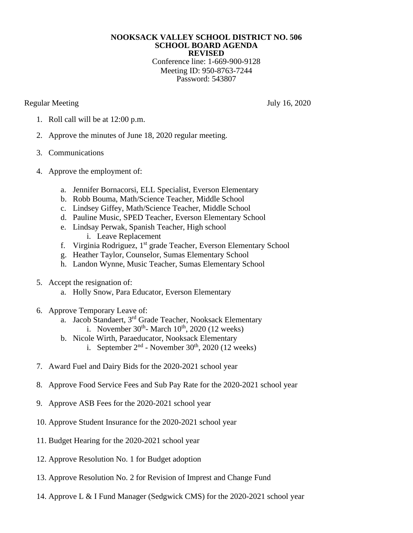## **NOOKSACK VALLEY SCHOOL DISTRICT NO. 506 SCHOOL BOARD AGENDA REVISED**

Conference line: 1-669-900-9128 Meeting ID: 950-8763-7244 Password: 543807

Regular Meeting July 16, 2020

- 1. Roll call will be at 12:00 p.m.
- 2. Approve the minutes of June 18, 2020 regular meeting.
- 3. Communications
- 4. Approve the employment of:
	- a. Jennifer Bornacorsi, ELL Specialist, Everson Elementary
	- b. Robb Bouma, Math/Science Teacher, Middle School
	- c. Lindsey Giffey, Math/Science Teacher, Middle School
	- d. Pauline Music, SPED Teacher, Everson Elementary School
	- e. Lindsay Perwak, Spanish Teacher, High school i. Leave Replacement
	- f. Virginia Rodriguez, 1<sup>st</sup> grade Teacher, Everson Elementary School
	- g. Heather Taylor, Counselor, Sumas Elementary School
	- h. Landon Wynne, Music Teacher, Sumas Elementary School
- 5. Accept the resignation of:
	- a. Holly Snow, Para Educator, Everson Elementary
- 6. Approve Temporary Leave of:
	- a. Jacob Standaert, 3rd Grade Teacher, Nooksack Elementary i. November  $30<sup>th</sup>$ - March  $10<sup>th</sup>$ , 2020 (12 weeks)
	- b. Nicole Wirth, Paraeducator, Nooksack Elementary
		- i. September  $2<sup>nd</sup>$  November 30<sup>th</sup>, 2020 (12 weeks)
- 7. Award Fuel and Dairy Bids for the 2020-2021 school year
- 8. Approve Food Service Fees and Sub Pay Rate for the 2020-2021 school year
- 9. Approve ASB Fees for the 2020-2021 school year
- 10. Approve Student Insurance for the 2020-2021 school year
- 11. Budget Hearing for the 2020-2021 school year
- 12. Approve Resolution No. 1 for Budget adoption
- 13. Approve Resolution No. 2 for Revision of Imprest and Change Fund
- 14. Approve L & I Fund Manager (Sedgwick CMS) for the 2020-2021 school year